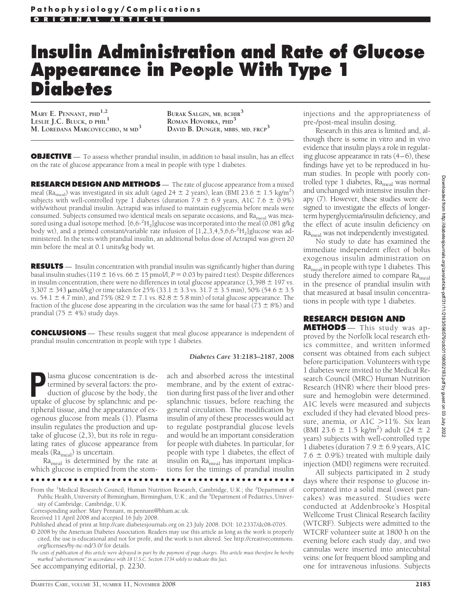# **Insulin Administration and Rate of Glucose Appearance in People With Type 1 Diabetes**

**MARY E. PENNANT, PHD1,2 LESLIE J.C. BLUCK, D PHIL1 M. LOREDANA MARCOVECCHIO, M MD3**

**BURAK SALGIN, MB, BCHIR<sup>3</sup> ROMAN HOVORKA, PHD<sup>3</sup> DAVID B. DUNGER, MBBS, MD, FRCP<sup>3</sup>**

**OBJECTIVE** — To assess whether prandial insulin, in addition to basal insulin, has an effect on the rate of glucose appearance from a meal in people with type 1 diabetes.

**RESEARCH DESIGN AND METHODS** — The rate of glucose appearance from a mixed meal (Ra<sub>meal</sub>) was investigated in six adult (aged  $24 \pm 2$  years), lean (BMI 23.6  $\pm$  1.5 kg/m<sup>2</sup>) subjects with well-controlled type 1 diabetes (duration 7.9  $\pm$  6.9 years, A1C 7.6  $\pm$  0.9%) with/without prandial insulin. Actrapid was infused to maintain euglycemia before meals were consumed. Subjects consumed two identical meals on separate occasions, and  $Ra_{\text{med}}$  was measured using a dual isotope method. [6,6-<sup>2</sup>H<sub>2</sub>] glucose was incorporated into the meal (0.081 g/kg body wt), and a primed constant/variable rate infusion of  $[1, 2, 3, 4, 5, 6, 6^{-2}H_2]$  glucose was administered. In the tests with prandial insulin, an additional bolus dose of Actrapid was given 20 min before the meal at 0.1 units/kg body wt.

**RESULTS** — Insulin concentration with prandial insulin was significantly higher than during basal insulin studies (119  $\pm$  16 vs. 66  $\pm$  15 pmol/l, *P* = 0.03 by paired *t* test). Despite differences in insulin concentration, there were no differences in total glucose appearance  $(3,398 \pm 197 \text{ vs.})$  $3,307 \pm 343 \mu$ mol/kg) or time taken for 25% (33.1  $\pm$  3.3 vs. 31.7  $\pm$  3.5 min), 50% (54.6  $\pm$  3.5 vs. 54.1  $\pm$  4.7 min), and 75% (82.9  $\pm$  7.1 vs. 82.8  $\pm$  5.8 min) of total glucose appearance. The fraction of the glucose dose appearing in the circulation was the same for basal (73  $\pm$  8%) and prandial (75  $\pm$  4%) study days.

**CONCLUSIONS** — These results suggest that meal glucose appearance is independent of prandial insulin concentration in people with type 1 diabetes.

#### *Diabetes Care* **31:2183–2187, 2008**

ach and absorbed across the intestinal membrane, and by the extent of extraction during first pass of the liver and other

**Plasma glucose concentration is de-<br>termined by several factors: the pro-<br>duction of glucose by the body, the<br>untake of glucose by splanchnic and pe**termined by several factors: the production of glucose by the body, the uptake of glucose by splanchnic and peripheral tissue, and the appearance of exogenous glucose from meals (1). Plasma insulin regulates the production and uptake of glucose (2,3), but its role in regulating rates of glucose appearance from meals ( $Ra_{\text{real}}$ ) is uncertain.

 $Ra_{\text{real}}$  is determined by the rate at which glucose is emptied from the stom-

splanchnic tissues, before reaching the general circulation. The modification by insulin of any of these processes would act to regulate postprandial glucose levels and would be an important consideration for people with diabetes. In particular, for people with type 1 diabetes, the effect of insulin on Ra<sub>meal</sub> has important implications for the timings of prandial insulin

●●●●●●●●●●●●●●●●●●●●●●●●●●●●●●●●●●●●●●●●●●●●●●●●●

From the <sup>1</sup>Medical Research Council, Human Nutrition Research, Cambridge, U.K.; the <sup>2</sup>Department of Public Health, University of Birmingham, Birmingham, U.K.; and the <sup>3</sup>Department of Pediatrics, University of Cambridge, Cambridge, U.K.

Corresponding author: Mary Pennant, m.pennant@bham.ac.uk.

Received 11 April 2008 and accepted 16 July 2008.

Published ahead of print at http://care.diabetesjournals.org on 23 July 2008. DOI: 10.2337/dc08-0705.

© 2008 by the American Diabetes Association. Readers may use this article as long as the work is properly cited, the use is educational and not for profit, and the work is not altered. See http://creativecommons. org/licenses/by-nc-nd/3.0/ for details.

*The costs of publication of this article were defrayed in part by the payment of page charges. This article must therefore be hereby marked "advertisement" in accordance with 18 U.S.C. Section 1734 solely to indicate this fact.*

See accompanying editorial, p. 2230.

injections and the appropriateness of pre-/post-meal insulin dosing.

Research in this area is limited and, although there is some in vitro and in vivo evidence that insulin plays a role in regulating glucose appearance in rats  $(4-6)$ , these findings have yet to be reproduced in human studies. In people with poorly controlled type 1 diabetes, Ra<sub>meal</sub> was normal and unchanged with intensive insulin therapy (7). However, these studies were designed to investigate the effects of longerterm hyperglycemia/insulin deficiency, and the effect of acute insulin deficiency on Ra<sub>meal</sub> was not independently investigated.

No study to date has examined the immediate independent effect of bolus exogenous insulin administration on Ra<sub>meal</sub> in people with type 1 diabetes. This study therefore aimed to compare  $Ra_{\text{med}}$ in the presence of prandial insulin with that measured at basal insulin concentrations in people with type 1 diabetes.

# **RESEARCH DESIGN AND**

**METHODS** — This study was approved by the Norfolk local research ethics committee, and written informed consent was obtained from each subject before participation. Volunteers with type 1 diabetes were invited to the Medical Research Council (MRC) Human Nutrition Research (HNR) where their blood pressure and hemoglobin were determined. A1C levels were measured and subjects excluded if they had elevated blood pressure, anemia, or  $A1C > 11\%$ . Six lean (BMI 23.6  $\pm$  1.5 kg/m<sup>2</sup>) adult (24  $\pm$  2 years) subjects with well-controlled type 1 diabetes (duration  $7.9 \pm 6.9$  years, A1C 7.6  $\pm$  0.9%) treated with multiple daily injection (MDI) regimens were recruited.

All subjects participated in 2 study days where their response to glucose incorporated into a solid meal (sweet pancakes) was measured. Studies were conducted at Addenbrooke's Hospital Wellcome Trust Clinical Research facility (WTCRF). Subjects were admitted to the WTCRF volunteer suite at 1800 h on the evening before each study day, and two cannulas were inserted into antecubital veins: one for frequent blood sampling and one for intravenous infusions. Subjects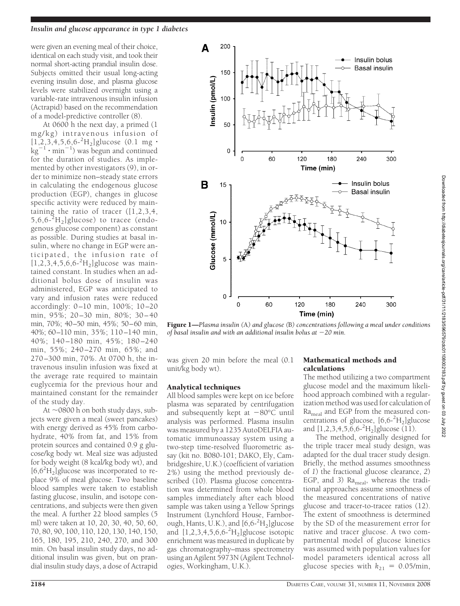#### *Insulin and glucose appearance in type 1 diabetes*

were given an evening meal of their choice, identical on each study visit, and took their normal short-acting prandial insulin dose. Subjects omitted their usual long-acting evening insulin dose, and plasma glucose levels were stabilized overnight using a variable-rate intravenous insulin infusion (Actrapid) based on the recommendation of a model-predictive controller (8).

At 0600 h the next day, a primed (1 mg/kg) intravenous infusion of  $[1, 2, 3, 4, 5, 6, 6^{-2}H_2]$ glucose (0.1 mg ·  $\text{kg}^{-1} \cdot \text{min}^{-1}$ ) was begun and continued for the duration of studies. As implemented by other investigators (9), in order to minimize non–steady state errors in calculating the endogenous glucose production (EGP), changes in glucose specific activity were reduced by maintaining the ratio of tracer  $(1,2,3,4,4)$  $5,6,6$ <sup>-2</sup> $H_2$ ]glucose) to tracee (endogenous glucose component) as constant as possible. During studies at basal insulin, where no change in EGP were anticipated, the infusion rate of  $[1,2,3,4,5,6,6^{-2}H_2]$ glucose was maintained constant. In studies when an additional bolus dose of insulin was administered, EGP was anticipated to vary and infusion rates were reduced accordingly: 0–10 min, 100%; 10–20 min, 95%; 20–30 min, 80%; 30–40 min, 70%; 40–50 min, 45%; 50–60 min, 40%; 60–110 min, 35%; 110 –140 min, 40%; 140–180 min, 45%; 180–240 min, 55%; 240–270 min, 65%; and 270–300 min, 70%. At 0700 h, the intravenous insulin infusion was fixed at the average rate required to maintain euglycemia for the previous hour and maintained constant for the remainder of the study day.

At  $\sim$ 0800 h on both study days, subjects were given a meal (sweet pancakes) with energy derived as 45% from carbohydrate, 40% from fat, and 15% from protein sources and contained 0.9 g glucose/kg body wt. Meal size was adjusted for body weight (8 kcal/kg body wt), and  $[6,6^2H_2]$ glucose was incorporated to replace 9% of meal glucose. Two baseline blood samples were taken to establish fasting glucose, insulin, and isotope concentrations, and subjects were then given the meal. A further 22 blood samples (5 ml) were taken at 10, 20, 30, 40, 50, 60, 70, 80, 90, 100, 110, 120, 130, 140, 150, 165, 180, 195, 210, 240, 270, and 300 min. On basal insulin study days, no additional insulin was given, but on prandial insulin study days, a dose of Actrapid



Figure 1—*Plasma insulin (*A*) and glucose (*B*) concentrations following a meal under conditions of basal insulin and with an additional insulin bolus at 20 min.*

was given 20 min before the meal (0.1 unit/kg body wt).

## Analytical techniques

All blood samples were kept on ice before plasma was separated by centrifugation and subsequently kept at  $-80^{\circ}$ C until analysis was performed. Plasma insulin was measured by a 1235 AutoDELFIA automatic immunoassay system using a two-step time-resolved fluorometric assay (kit no. B080-101; DAKO, Ely, Cambridgeshire, U.K.) (coefficient of variation 2%) using the method previously described (10). Plasma glucose concentration was determined from whole blood samples immediately after each blood sample was taken using a Yellow Springs Instrument (Lynchford House, Farnborough, Hants, U.K.), and  $[6,6-^2H_2]$  glucose and [1,2,3,4,5,6,6-<sup>2</sup> H2]glucose isotopic enrichment was measured in duplicate by gas chromatography–mass spectrometry using an Agilent 5973N (Agilent Technologies, Workingham, U.K.).

## Mathematical methods and calculations

The method utilizing a two compartment glucose model and the maximum likelihood approach combined with a regularization method was used for calculation of Ra<sub>meal</sub> and EGP from the measured concentrations of glucose,  $[6,6-^{2}H_{2}]$ glucose and  $[1,2,3,4,5,6,6^{-2}H_2]$ glucose (11).

The method, originally designed for the triple tracer meal study design, was adapted for the dual tracer study design. Briefly, the method assumes smoothness of *1*) the fractional glucose clearance, *2*) EGP, and 3) Ra<sub>meal</sub>, whereas the traditional approaches assume smoothness of the measured concentrations of native glucose and tracer-to-tracee ratios (12). The extent of smoothness is determined by the SD of the measurement error for native and tracer glucose. A two compartmental model of glucose kinetics was assumed with population values for model parameters identical across all glucose species with  $k_{21} = 0.05/\text{min}$ ,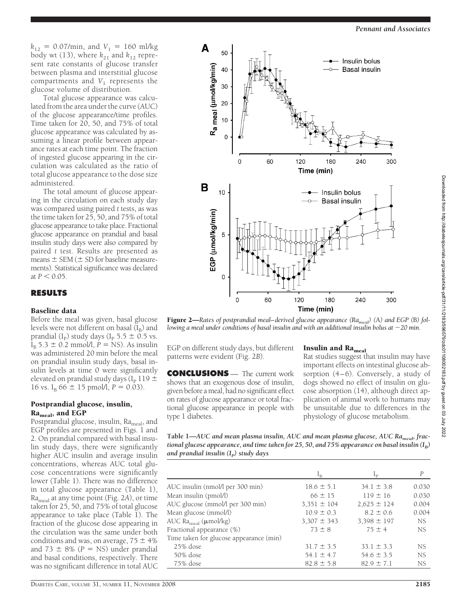$k_{12} = 0.07/\text{min}$ , and  $V_1 = 160 \text{ ml/kg}$ body wt (13), where  $k_{21}$  and  $k_{12}$  represent rate constants of glucose transfer between plasma and interstitial glucose compartments and  $V_1$  represents the glucose volume of distribution.

Total glucose appearance was calculated from the area under the curve (AUC) of the glucose appearance/time profiles. Time taken for 20, 50, and 75% of total glucose appearance was calculated by assuming a linear profile between appearance rates at each time point. The fraction of ingested glucose appearing in the circulation was calculated as the ratio of total glucose appearance to the dose size administered.

The total amount of glucose appearing in the circulation on each study day was compared using paired *t* tests, as was the time taken for 25, 50, and 75% of total glucose appearance to take place. Fractional glucose appearance on prandial and basal insulin study days were also compared by paired *t* test. Results are presented as means  $\pm$  SEM ( $\pm$  SD for baseline measurements). Statistical significance was declared at  $P < 0.05$ .

# **RESULTS**

## Baseline data

Before the meal was given, basal glucose levels were not different on basal  $(I_B)$  and prandial (I<sub>P</sub>) study days (I<sub>P</sub> 5.5  $\pm$  0.5 vs.  $I_B$  5.3  $\pm$  0.2 mmol/l, *P* = NS). As insulin was administered 20 min before the meal on prandial insulin study days, basal insulin levels at time 0 were significantly elevated on prandial study days ( $I<sub>P</sub>$  119  $\pm$ 16 vs. I<sub>B</sub> 66  $\pm$  15 pmol/l, *P* = 0.03).

## Postprandial glucose, insulin, Ra<sub>meal</sub>, and EGP

Postprandial glucose, insulin, Ra<sub>meal</sub>, and EGP profiles are presented in Figs. 1 and 2. On prandial compared with basal insulin study days, there were significantly higher AUC insulin and average insulin concentrations, whereas AUC total glucose concentrations were significantly lower (Table 1). There was no difference in total glucose appearance (Table 1), Rameal at any time point (Fig. 2*A*), or time taken for 25, 50, and 75% of total glucose appearance to take place (Table 1). The fraction of the glucose dose appearing in the circulation was the same under both conditions and was, on average,  $75 \pm 4\%$ and  $73 \pm 8\%$  ( $P = NS$ ) under prandial and basal conditions, respectively. There was no significant difference in total AUC



Figure 2—*Rates of postprandial meal-derived glucose appearance (Ra<sub>meal</sub>)* (A) and EGP (B) fol*lowing a meal under conditions of basal insulin and with an additional insulin bolus at 20 min.*

EGP on different study days, but different patterns were evident (Fig. 2*B*).

**CONCLUSIONS** — The current work shows that an exogenous dose of insulin, given before a meal, had no significant effect on rates of glucose appearance or total fractional glucose appearance in people with type 1 diabetes.

## Insulin and  $Ra_{\text{meal}}$

Rat studies suggest that insulin may have important effects on intestinal glucose absorption (4–6). Conversely, a study of dogs showed no effect of insulin on glucose absorption (14), although direct application of animal work to humans may be unsuitable due to differences in the physiology of glucose metabolism.

Table 1—AUC and mean plasma insulin, AUC and mean plasma glucose, AUC Ra<sub>meab</sub> frac*tional glucose appearance, and time taken for 25, 50, and 75% appearance on basal insulin*  $(I_R)$ *and prandial insulin* (I<sub>P</sub>) study days

|                                         |                 | $_{\text{L}_{\text{D}}}$ | Р         |
|-----------------------------------------|-----------------|--------------------------|-----------|
| AUC insulin (nmol/l per 300 min)        | $18.6 \pm 5.1$  | $34.1 \pm 3.8$           | 0.030     |
| Mean insulin (pmol/l)                   | $66 \pm 15$     | $119 \pm 16$             | 0.030     |
| AUC glucose (mmol/l per 300 min)        | $3,351 \pm 104$ | $2,625 \pm 124$          | 0.004     |
| Mean glucose (mmol/l)                   | $10.9 \pm 0.3$  | $8.2 \pm 0.6$            | 0.004     |
| AUC Ra <sub>meal</sub> ( $\mu$ mol/kg)  | $3,307 \pm 343$ | $3,398 \pm 197$          | NS.       |
| Fractional appearance (%)               | $73 \pm 8$      | $75 \pm 4$               | NS.       |
| Time taken for glucose appearance (min) |                 |                          |           |
| $25\%$ dose                             | $31.7 \pm 3.5$  | $33.1 \pm 3.3$           | NS.       |
| 50% dose                                | $54.1 \pm 4.7$  | $54.6 \pm 3.5$           | NS.       |
| 75% dose                                | $82.8 \pm 5.8$  | $82.9 \pm 7.1$           | <b>NS</b> |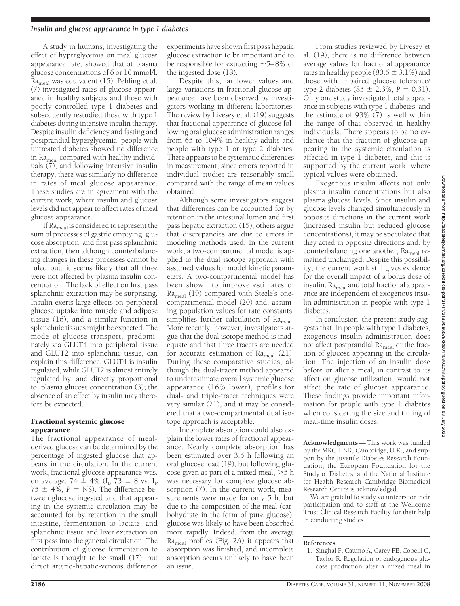#### *Insulin and glucose appearance in type 1 diabetes*

A study in humans, investigating the effect of hyperglycemia on meal glucose appearance rate, showed that at plasma glucose concentrations of 6 or 10 mmol/l, Ra<sub>meal</sub> was equivalent (15). Pehling et al. (7) investigated rates of glucose appearance in healthy subjects and those with poorly controlled type 1 diabetes and subsequently restudied those with type 1 diabetes during intensive insulin therapy. Despite insulin deficiency and fasting and postprandial hyperglycemia, people with untreated diabetes showed no difference in Ra<sub>meal</sub> compared with healthy individuals (7), and following intensive insulin therapy, there was similarly no difference in rates of meal glucose appearance. These studies are in agreement with the current work, where insulin and glucose levels did not appear to affect rates of meal glucose appearance.

If  $Ra_{\text{med}}$  is considered to represent the sum of processes of gastric emptying, glucose absorption, and first pass splanchnic extraction, then although counterbalancing changes in these processes cannot be ruled out, it seems likely that all three were not affected by plasma insulin concentration. The lack of effect on first pass splanchnic extraction may be surprising. Insulin exerts large effects on peripheral glucose uptake into muscle and adipose tissue (16), and a similar function in splanchnic tissues might be expected. The mode of glucose transport, predominately via GLUT4 into peripheral tissue and GLUT2 into splanchnic tissue, can explain this difference. GLUT4 is insulin regulated, while GLUT2 is almost entirely regulated by, and directly proportional to, plasma glucose concentration (3); the absence of an effect by insulin may therefore be expected.

#### Fractional systemic glucose appearance

The fractional appearance of mealderived glucose can be determined by the percentage of ingested glucose that appears in the circulation. In the current work, fractional glucose appearance was, on average, 74  $\pm$  4% (I<sub>B</sub> 73  $\pm$  8 vs. I<sub>P</sub>  $75 \pm 4\%$ ,  $P = \text{NS}$ ). The difference between glucose ingested and that appearing in the systemic circulation may be accounted for by retention in the small intestine, fermentation to lactate, and splanchnic tissue and liver extraction on first pass into the general circulation. The contribution of glucose fermentation to lactate is thought to be small (17), but direct arterio-hepatic-venous difference

experiments have shown first pass hepatic glucose extraction to be important and to be responsible for extracting  $\sim$  5–8% of the ingested dose (18).

Despite this, far lower values and large variations in fractional glucose appearance have been observed by investigators working in different laboratories. The review by Livesey et al. (19) suggests that fractional appearance of glucose following oral glucose administration ranges from 65 to 104% in healthy adults and people with type 1 or type 2 diabetes. There appears to be systematic differences in measurement, since errors reported in individual studies are reasonably small compared with the range of mean values obtained.

Although some investigators suggest that differences can be accounted for by retention in the intestinal lumen and first pass hepatic extraction (15), others argue that discrepancies are due to errors in modeling methods used. In the current work, a two-compartmental model is applied to the dual isotope approach with assumed values for model kinetic parameters. A two-compartmental model has been shown to improve estimates of Ra<sub>meal</sub> (19) compared with Steele's onecompartmental model (20) and, assuming population values for rate constants, simplifies further calculation of  $Ra_{\text{meal}}$ . More recently, however, investigators argue that the dual isotope method is inadequate and that three tracers are needed for accurate estimation of  $Ra_{\text{meal}}(21)$ . During these comparative studies, although the dual-tracer method appeared to underestimate overall systemic glucose appearance (16% lower), profiles for dual- and triple-tracer techniques were very similar (21), and it may be considered that a two-compartmental dual isotope approach is acceptable.

Incomplete absorption could also explain the lower rates of fractional appearance. Nearly complete absorption has been estimated over 3.5 h following an oral glucose load (19), but following glucose given as part of a mixed meal,  $>5$  h was necessary for complete glucose absorption (7). In the current work, measurements were made for only 5 h, but due to the composition of the meal (carbohydrate in the form of pure glucose), glucose was likely to have been absorbed more rapidly. Indeed, from the average Rameal profiles (Fig. 2*A*) it appears that absorption was finished, and incomplete absorption seems unlikely to have been an issue.

From studies reviewed by Livesey et al. (19), there is no difference between average values for fractional appearance rates in healthy people (80.6  $\pm$  3.1%) and those with impaired glucose tolerance/ type 2 diabetes  $(85 \pm 2.3\%, P = 0.31)$ . Only one study investigated total appearance in subjects with type 1 diabetes, and the estimate of 93% (7) is well within the range of that observed in healthy individuals. There appears to be no evidence that the fraction of glucose appearing in the systemic circulation is affected in type 1 diabetes, and this is supported by the current work, where typical values were obtained.

Exogenous insulin affects not only plasma insulin concentrations but also plasma glucose levels. Since insulin and glucose levels changed simultaneously in opposite directions in the current work (increased insulin but reduced glucose concentrations), it may be speculated that they acted in opposite directions and, by counterbalancing one another, Ra<sub>meal</sub> remained unchanged. Despite this possibility, the current work still gives evidence for the overall impact of a bolus dose of insulin:  $Ra_{\text{med}}$  and total fractional appearance are independent of exogenous insulin administration in people with type 1 diabetes.

In conclusion, the present study suggests that, in people with type 1 diabetes, exogenous insulin administration does not affect postprandial Ra<sub>meal</sub> or the fraction of glucose appearing in the circulation. The injection of an insulin dose before or after a meal, in contrast to its affect on glucose utilization, would not affect the rate of glucose appearance. These findings provide important information for people with type 1 diabetes when considering the size and timing of meal-time insulin doses.

**Acknowledgments**— This work was funded by the MRC HNR, Cambridge, U.K., and support by the Juvenile Diabetes Research Foundation, the European Foundation for the Study of Diabetes, and the National Institute for Health Research Cambridge Biomedical Research Centre is acknowledged.

We are grateful to study volunteers for their participation and to staff at the Wellcome Trust Clinical Research Facility for their help in conducting studies.

#### **References**

1. Singhal P, Caumo A, Carey PE, Cobelli C, Taylor R: Regulation of endogenous glucose production after a mixed meal in